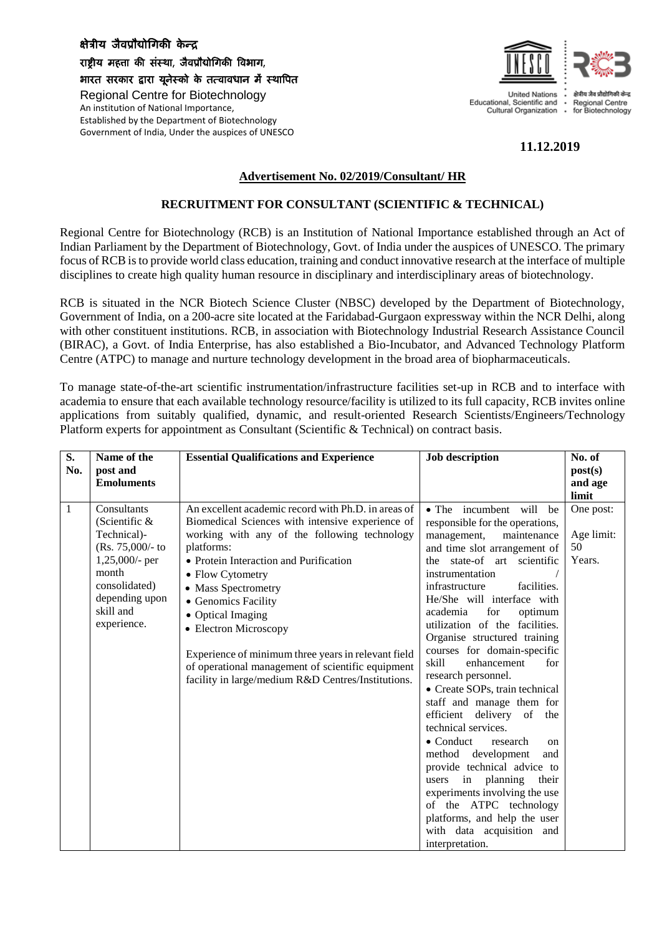## क्षेत्रीय जैवप्रौद्योगिकी केन्द

राष्ट्रीय महत्ता की संस्था, जैवप्रौद्योगिकी विभाग,

भारत सरकार द्वारा यूनेस्को के तत्वावधान में स्थावित Regional Centre for Biotechnology An institution of National Importance, Established by the Department of Biotechnology Government of India, Under the auspices of UNESCO



**11.12.2019**

## **Advertisement No. 02/2019/Consultant/ HR**

## **RECRUITMENT FOR CONSULTANT (SCIENTIFIC & TECHNICAL)**

Regional Centre for Biotechnology (RCB) is an Institution of National Importance established through an Act of Indian Parliament by the Department of Biotechnology, Govt. of India under the auspices of UNESCO. The primary focus of RCB is to provide world class education, training and conduct innovative research at the interface of multiple disciplines to create high quality human resource in disciplinary and interdisciplinary areas of biotechnology.

RCB is situated in the NCR Biotech Science Cluster (NBSC) developed by the Department of Biotechnology, Government of India, on a 200-acre site located at the Faridabad-Gurgaon expressway within the NCR Delhi, along with other constituent institutions. RCB, in association with Biotechnology Industrial Research Assistance Council (BIRAC), a Govt. of India Enterprise, has also established a Bio-Incubator, and Advanced Technology Platform Centre (ATPC) to manage and nurture technology development in the broad area of biopharmaceuticals.

To manage state-of-the-art scientific instrumentation/infrastructure facilities set-up in RCB and to interface with academia to ensure that each available technology resource/facility is utilized to its full capacity, RCB invites online applications from suitably qualified, dynamic, and result-oriented Research Scientists/Engineers/Technology Platform experts for appointment as Consultant (Scientific & Technical) on contract basis.

| S.<br>No.    | Name of the<br>post and<br><b>Emoluments</b>                                                                                                                   | <b>Essential Qualifications and Experience</b>                                                                                                                                                                                                                                                                                                                                                                                                                                                    | <b>Job description</b>                                                                                                                                                                                                                                                                                                                                                                                                                                                                                                                                                                                                                                                                                                                                                                                                           | No. of<br>post(s)<br>and age<br>limit   |
|--------------|----------------------------------------------------------------------------------------------------------------------------------------------------------------|---------------------------------------------------------------------------------------------------------------------------------------------------------------------------------------------------------------------------------------------------------------------------------------------------------------------------------------------------------------------------------------------------------------------------------------------------------------------------------------------------|----------------------------------------------------------------------------------------------------------------------------------------------------------------------------------------------------------------------------------------------------------------------------------------------------------------------------------------------------------------------------------------------------------------------------------------------------------------------------------------------------------------------------------------------------------------------------------------------------------------------------------------------------------------------------------------------------------------------------------------------------------------------------------------------------------------------------------|-----------------------------------------|
| $\mathbf{1}$ | Consultants<br>(Scientific $\&$<br>Technical)-<br>$(Rs. 75,000/- to$<br>1,25,000/- per<br>month<br>consolidated)<br>depending upon<br>skill and<br>experience. | An excellent academic record with Ph.D. in areas of<br>Biomedical Sciences with intensive experience of<br>working with any of the following technology<br>platforms:<br>• Protein Interaction and Purification<br>• Flow Cytometry<br>• Mass Spectrometry<br>• Genomics Facility<br>• Optical Imaging<br>• Electron Microscopy<br>Experience of minimum three years in relevant field<br>of operational management of scientific equipment<br>facility in large/medium R&D Centres/Institutions. | • The incumbent will be<br>responsible for the operations,<br>management,<br>maintenance<br>and time slot arrangement of<br>the state-of art scientific<br>instrumentation<br>infrastructure<br>facilities.<br>He/She will interface with<br>for<br>academia<br>optimum<br>utilization of the facilities.<br>Organise structured training<br>courses for domain-specific<br>skill<br>enhancement<br>for<br>research personnel.<br>• Create SOPs, train technical<br>staff and manage them for<br>efficient delivery of the<br>technical services.<br>$\bullet$ Conduct<br>research<br>on<br>method development<br>and<br>provide technical advice to<br>in planning<br>users<br>their<br>experiments involving the use<br>of the ATPC technology<br>platforms, and help the user<br>with data acquisition and<br>interpretation. | One post:<br>Age limit:<br>50<br>Years. |